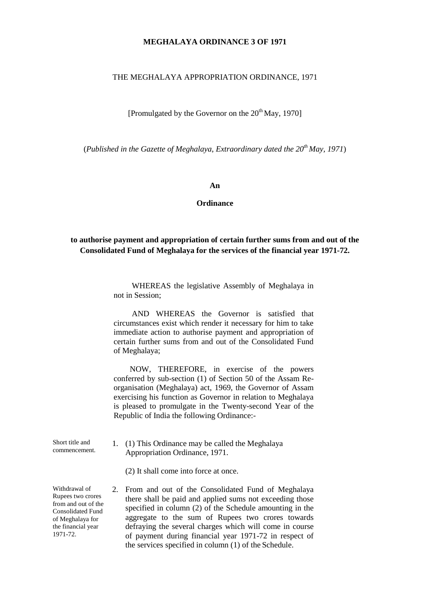# **MEGHALAYA ORDINANCE 3 OF 1971**

### THE MEGHALAYA APPROPRIATION ORDINANCE, 1971

[Promulgated by the Governor on the  $20<sup>th</sup>$  May, 1970]

(*Published in the Gazette of Meghalaya*, *Extraordinary dated the 20th May, 1971*)

#### **An**

#### **Ordinance**

# **to authorise payment and appropriation of certain further sums from and out of the Consolidated Fund of Meghalaya for the services of the financial year 1971-72.**

WHEREAS the legislative Assembly of Meghalaya in not in Session;

AND WHEREAS the Governor is satisfied that circumstances exist which render it necessary for him to take immediate action to authorise payment and appropriation of certain further sums from and out of the Consolidated Fund of Meghalaya;

NOW, THEREFORE, in exercise of the powers conferred by sub-section (1) of Section 50 of the Assam Reorganisation (Meghalaya) act, 1969, the Governor of Assam exercising his function as Governor in relation to Meghalaya is pleased to promulgate in the Twenty-second Year of the Republic of India the following Ordinance:

Short title and 1. (1) This Ordinance may be called the Meghalaya commencement. Appropriation Ordinance, 1971.

(2) It shall come into force at once.

Withdrawal of 2. From and out of the Consolidated Fund of Meghalaya<br>Rupees two crores there abell be noted and applied awww. not avesaging these Rupees two crores there shall be paid and applied sums not exceeding those from and out of the specified in column (2) of the Schedule amounting in the Consolidated Fund of Meghalaya for aggregate to the sum of Rupees two crores towards the financial year defraying the several charges which will come in course<br>1971-72. of normant during financial year 1971-72 in recoget of of payment during financial year 1971-72 in respect of the services specified in column (1) of the Schedule.